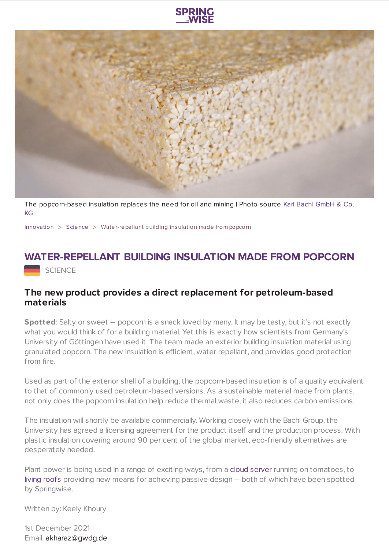



The [popcorn-based](https://www.uni-goettingen.de/en/3240.html?id=6481) insulation replaces the need for oil and mining | Photo source Karl Bachl GmbH & Co. KG

[Innovation](https://www.springwise.com/search?type=innovation) > [Science](https://www.springwise.com/search?type=innovation§or=science-and-natural-world) > Water-repellant building insulation made from popcorn

## **WATER-REPELLANT BUILDING INSULATION MADE FROM POPCORN**

SCIENCE

## **The new product provides a direct replacement for petroleum-based materials**

**Spotted:** Salty or sweet – popcorn is a snack loved by many. It may be tasty, but it's not exactly what you would think of for a building material. Yet this is exactly how scientists from Germany's University of Göttingen have used it. The team made an exterior building insulation material using granulated popcorn. The new insulation is efficient, water repellant, and provides good protection from fire.

Used as part of the exterior shell of a building, the popcorn-based insulation is of a quality equivalent to that of commonly used petroleum-based versions. As a sustainable material made from plants, not only does the popcorn insulation help reduce thermal waste, it also reduces carbon emissions.

The insulation will shortly be available commercially. Working closely with the Bachl Group, the University has agreed a licensing agreement for the product itself and the production process. With plastic insulation covering around 90 per cent of the global market, eco-friendly alternatives are desperately needed.

Plant power is being used in a range of exciting ways, from a cloud [server](https://www.springwise.com/innovation/computing-tech/tomato-plants-powers-server) running on tomatoes, to living [roofs](https://www.springwise.com/innovation/property-construction/passive-house-living-green-roof-forest-blends-landscape) providing new means for achieving passive design – both of which have been spotted by Springwise.

Written by: Keely Khoury

1st December 2021 Email: [akharaz@gwdg.de](mailto:akharaz@gwdg.de)